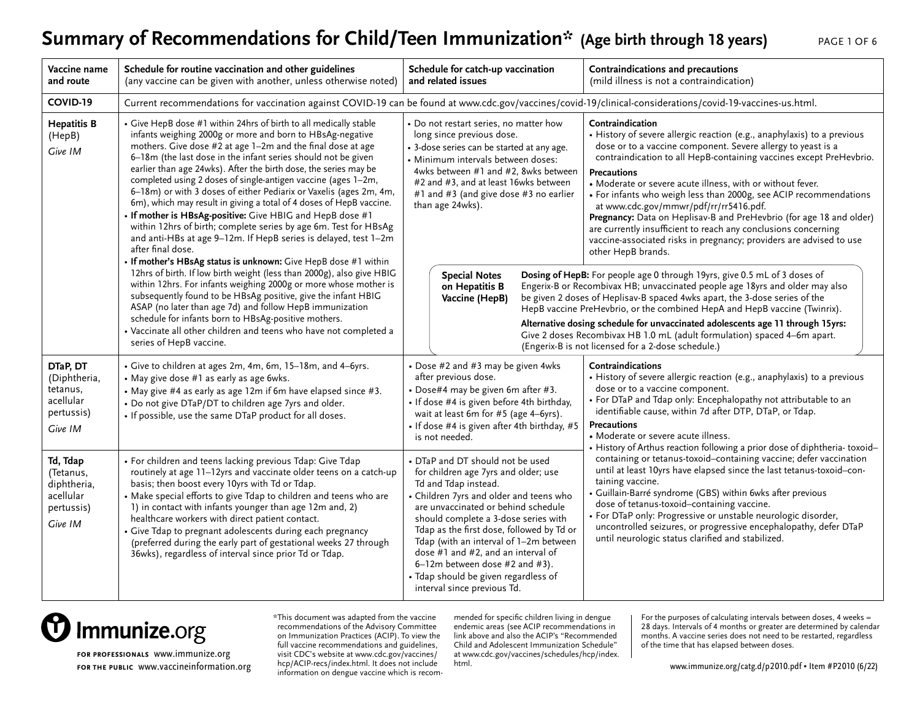#### Summary of Recommendations for Child/Teen Immunization\* (Age birth through 18 years)

| PAGE 1 OF 6 |  |  |
|-------------|--|--|
|             |  |  |

| Vaccine name<br>and route                                                                                                                                                                                                                                                                                                                                                                                                      | Schedule for routine vaccination and other guidelines<br>(any vaccine can be given with another, unless otherwise noted)                                                                                                                                                                                                                                                                                                                                                                                                                                                                                                                                                                                                                                                                                                                     | Schedule for catch-up vaccination<br>and related issues                                                                                                                                                                                                                                                                                                                                                                                                                                                                                                                                              | Contraindications and precautions<br>(mild illness is not a contraindication)                                                                                                                                                                                                                                                                                                                                                                                                                                                                                                                                                                                                                                                                                                                                                                                                   |  |
|--------------------------------------------------------------------------------------------------------------------------------------------------------------------------------------------------------------------------------------------------------------------------------------------------------------------------------------------------------------------------------------------------------------------------------|----------------------------------------------------------------------------------------------------------------------------------------------------------------------------------------------------------------------------------------------------------------------------------------------------------------------------------------------------------------------------------------------------------------------------------------------------------------------------------------------------------------------------------------------------------------------------------------------------------------------------------------------------------------------------------------------------------------------------------------------------------------------------------------------------------------------------------------------|------------------------------------------------------------------------------------------------------------------------------------------------------------------------------------------------------------------------------------------------------------------------------------------------------------------------------------------------------------------------------------------------------------------------------------------------------------------------------------------------------------------------------------------------------------------------------------------------------|---------------------------------------------------------------------------------------------------------------------------------------------------------------------------------------------------------------------------------------------------------------------------------------------------------------------------------------------------------------------------------------------------------------------------------------------------------------------------------------------------------------------------------------------------------------------------------------------------------------------------------------------------------------------------------------------------------------------------------------------------------------------------------------------------------------------------------------------------------------------------------|--|
| COVID-19                                                                                                                                                                                                                                                                                                                                                                                                                       | Current recommendations for vaccination against COVID-19 can be found at www.cdc.gov/vaccines/covid-19/clinical-considerations/covid-19-vaccines-us.html.                                                                                                                                                                                                                                                                                                                                                                                                                                                                                                                                                                                                                                                                                    |                                                                                                                                                                                                                                                                                                                                                                                                                                                                                                                                                                                                      |                                                                                                                                                                                                                                                                                                                                                                                                                                                                                                                                                                                                                                                                                                                                                                                                                                                                                 |  |
| <b>Hepatitis B</b><br>(HepB)<br>Give IM                                                                                                                                                                                                                                                                                                                                                                                        | • Give HepB dose #1 within 24hrs of birth to all medically stable<br>infants weighing 2000g or more and born to HBsAg-negative<br>mothers. Give dose #2 at age 1-2m and the final dose at age<br>6-18m (the last dose in the infant series should not be given<br>earlier than age 24wks). After the birth dose, the series may be<br>completed using 2 doses of single-antigen vaccine (ages 1-2m,<br>6-18m) or with 3 doses of either Pediarix or Vaxelis (ages 2m, 4m,<br>6m), which may result in giving a total of 4 doses of HepB vaccine.<br>• If mother is HBsAg-positive: Give HBIG and HepB dose #1<br>within 12hrs of birth; complete series by age 6m. Test for HBsAg<br>and anti-HBs at age 9-12m. If HepB series is delayed, test 1-2m<br>after final dose.<br>• If mother's HBsAg status is unknown: Give HepB dose #1 within | • Do not restart series, no matter how<br>long since previous dose.<br>• 3-dose series can be started at any age.<br>· Minimum intervals between doses:<br>4wks between #1 and #2, 8wks between<br>#2 and #3, and at least 16wks between<br>#1 and #3 (and give dose #3 no earlier<br>than age 24wks).                                                                                                                                                                                                                                                                                               | Contraindication<br>• History of severe allergic reaction (e.g., anaphylaxis) to a previous<br>dose or to a vaccine component. Severe allergy to yeast is a<br>contraindication to all HepB-containing vaccines except PreHevbrio.<br><b>Precautions</b><br>• Moderate or severe acute illness, with or without fever.<br>• For infants who weigh less than 2000g, see ACIP recommendations<br>at www.cdc.gov/mmwr/pdf/rr/rr5416.pdf.<br>Pregnancy: Data on Heplisav-B and PreHevbrio (for age 18 and older)<br>are currently insufficient to reach any conclusions concerning<br>vaccine-associated risks in pregnancy; providers are advised to use<br>other HepB brands.                                                                                                                                                                                                     |  |
| 12hrs of birth. If low birth weight (less than 2000g), also give HBIG<br>within 12hrs. For infants weighing 2000g or more whose mother is<br>subsequently found to be HBsAg positive, give the infant HBIG<br>ASAP (no later than age 7d) and follow HepB immunization<br>schedule for infants born to HBsAg-positive mothers.<br>• Vaccinate all other children and teens who have not completed a<br>series of HepB vaccine. |                                                                                                                                                                                                                                                                                                                                                                                                                                                                                                                                                                                                                                                                                                                                                                                                                                              | Dosing of HepB: For people age 0 through 19yrs, give 0.5 mL of 3 doses of<br><b>Special Notes</b><br>Engerix-B or Recombivax HB; unvaccinated people age 18yrs and older may also<br>on Hepatitis B<br>be given 2 doses of Heplisav-B spaced 4wks apart, the 3-dose series of the<br>Vaccine (HepB)<br>HepB vaccine PreHevbrio, or the combined HepA and HepB vaccine (Twinrix).<br>Alternative dosing schedule for unvaccinated adolescents age 11 through 15yrs:<br>Give 2 doses Recombivax HB 1.0 mL (adult formulation) spaced 4-6m apart.<br>(Engerix-B is not licensed for a 2-dose schedule.) |                                                                                                                                                                                                                                                                                                                                                                                                                                                                                                                                                                                                                                                                                                                                                                                                                                                                                 |  |
| DTaP, DT<br>(Diphtheria,<br>tetanus.<br>acellular<br>pertussis)<br>Give IM                                                                                                                                                                                                                                                                                                                                                     | • Give to children at ages 2m, 4m, 6m, 15-18m, and 4-6yrs.<br>• May give dose #1 as early as age 6wks.<br>• May give #4 as early as age 12m if 6m have elapsed since #3.<br>• Do not give DTaP/DT to children age 7yrs and older.<br>. If possible, use the same DTaP product for all doses.                                                                                                                                                                                                                                                                                                                                                                                                                                                                                                                                                 | • Dose #2 and #3 may be given 4wks<br>after previous dose.<br>• Dose#4 may be given 6m after #3.<br>• If dose #4 is given before 4th birthday,<br>wait at least 6m for #5 (age 4-6yrs).<br>· If dose #4 is given after 4th birthday, #5<br>is not needed.                                                                                                                                                                                                                                                                                                                                            | Contraindications<br>• History of severe allergic reaction (e.g., anaphylaxis) to a previous<br>dose or to a vaccine component.<br>• For DTaP and Tdap only: Encephalopathy not attributable to an<br>identifiable cause, within 7d after DTP, DTaP, or Tdap.<br><b>Precautions</b><br>• Moderate or severe acute illness.<br>• History of Arthus reaction following a prior dose of diphtheria-toxoid-<br>containing or tetanus-toxoid-containing vaccine; defer vaccination<br>until at least 10yrs have elapsed since the last tetanus-toxoid-con-<br>taining vaccine.<br>• Guillain-Barré syndrome (GBS) within 6wks after previous<br>dose of tetanus-toxoid-containing vaccine.<br>• For DTaP only: Progressive or unstable neurologic disorder,<br>uncontrolled seizures, or progressive encephalopathy, defer DTaP<br>until neurologic status clarified and stabilized. |  |
| Td, Tdap<br>(Tetanus,<br>diphtheria,<br>acellular<br>pertussis)<br>Give IM                                                                                                                                                                                                                                                                                                                                                     | • For children and teens lacking previous Tdap: Give Tdap<br>routinely at age 11-12yrs and vaccinate older teens on a catch-up<br>basis; then boost every 10yrs with Td or Tdap.<br>• Make special efforts to give Tdap to children and teens who are<br>1) in contact with infants younger than age 12m and, 2)<br>healthcare workers with direct patient contact.<br>• Give Tdap to pregnant adolescents during each pregnancy<br>(preferred during the early part of gestational weeks 27 through<br>36wks), regardless of interval since prior Td or Tdap.                                                                                                                                                                                                                                                                               | • DTaP and DT should not be used<br>for children age 7yrs and older; use<br>Td and Tdap instead.<br>• Children 7yrs and older and teens who<br>are unvaccinated or behind schedule<br>should complete a 3-dose series with<br>Tdap as the first dose, followed by Td or<br>Tdap (with an interval of 1-2m between<br>dose $#1$ and $#2$ , and an interval of<br>6-12m between dose #2 and #3).<br>· Tdap should be given regardless of<br>interval since previous Td.                                                                                                                                |                                                                                                                                                                                                                                                                                                                                                                                                                                                                                                                                                                                                                                                                                                                                                                                                                                                                                 |  |



**for professionals** [www.immunize.org](http://www.immunize.org) **FOR THE PUBLIC WWW.vaccineinformation.org** hcp/ACIP-recs/index.html. It does not include html.

\*This document was adapted from the vaccine recommendations of the Advisory Committee on Immunization Practices (ACIP). To view the full vaccine recommendations and guidelines, visit CDC's website at [www.cdc.gov/vaccines/](http://www.cdc.gov/vaccines/hcp/ACIP-recs/index.html) [hcp/ACIP-recs/index.html.](http://www.cdc.gov/vaccines/hcp/ACIP-recs/index.html) It does not include information on dengue vaccine which is recom-

mended for specific children living in dengue endemic areas (see ACIP recommendations in link above and also the ACIP's "Recommended Child and Adolescent Immunization Schedule" at [www.cdc.gov/vaccines/schedules/hcp/index.](http://www.cdc.gov/vaccines/schedules/hcp/index.html) [html.](http://www.cdc.gov/vaccines/schedules/hcp/index.html)

For the purposes of calculating intervals between doses, 4 weeks = 28 days. Intervals of 4 months or greater are determined by calendar months. A vaccine series does not need to be restarted, regardless of the time that has elapsed between doses.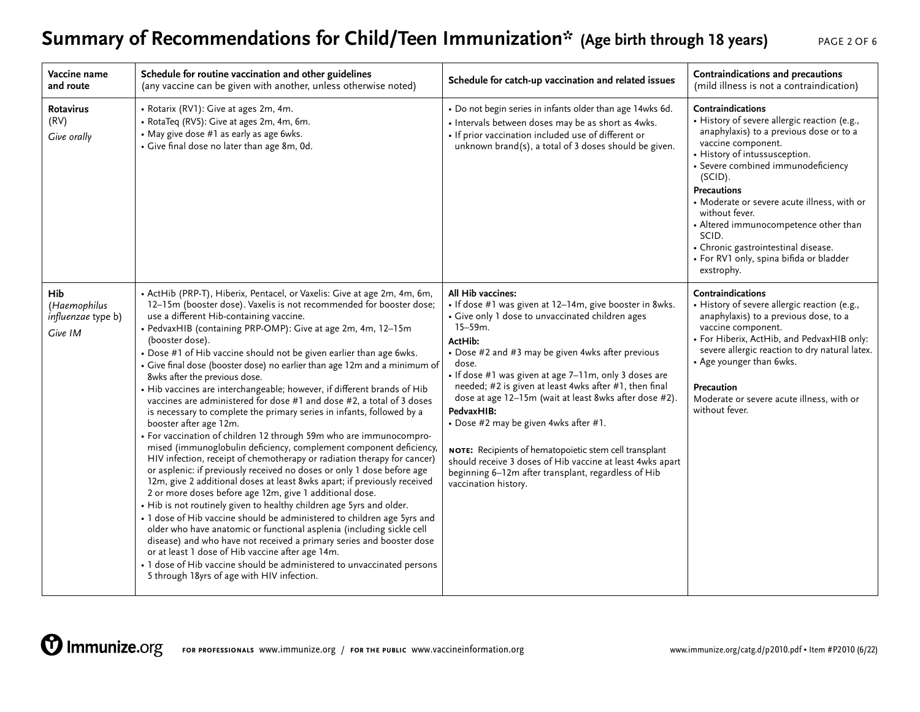# **Summary of Recommendations for Child/Teen Immunization\* (Age birth through 18 years)** PAGE 2 OF 6

| Vaccine name<br>and route                            | Schedule for routine vaccination and other guidelines<br>(any vaccine can be given with another, unless otherwise noted)                                                                                                                                                                                                                                                                                                                                                                                                                                                                                                                                                                                                                                                                                                                                                                                                                                                                                                                                                                                                                                                                                                                                                                                                                                                                                                                                                                                                                                                                                                                          | Schedule for catch-up vaccination and related issues                                                                                                                                                                                                                                                                                                                                                                                                                                                                                                                                                                                                                | Contraindications and precautions<br>(mild illness is not a contraindication)                                                                                                                                                                                                                                                                                                                                                                                 |
|------------------------------------------------------|---------------------------------------------------------------------------------------------------------------------------------------------------------------------------------------------------------------------------------------------------------------------------------------------------------------------------------------------------------------------------------------------------------------------------------------------------------------------------------------------------------------------------------------------------------------------------------------------------------------------------------------------------------------------------------------------------------------------------------------------------------------------------------------------------------------------------------------------------------------------------------------------------------------------------------------------------------------------------------------------------------------------------------------------------------------------------------------------------------------------------------------------------------------------------------------------------------------------------------------------------------------------------------------------------------------------------------------------------------------------------------------------------------------------------------------------------------------------------------------------------------------------------------------------------------------------------------------------------------------------------------------------------|---------------------------------------------------------------------------------------------------------------------------------------------------------------------------------------------------------------------------------------------------------------------------------------------------------------------------------------------------------------------------------------------------------------------------------------------------------------------------------------------------------------------------------------------------------------------------------------------------------------------------------------------------------------------|---------------------------------------------------------------------------------------------------------------------------------------------------------------------------------------------------------------------------------------------------------------------------------------------------------------------------------------------------------------------------------------------------------------------------------------------------------------|
| <b>Rotavirus</b><br>(RV)<br>Give orally              | • Rotarix (RV1): Give at ages 2m, 4m.<br>• RotaTeq (RV5): Give at ages 2m, 4m, 6m.<br>• May give dose #1 as early as age 6wks.<br>• Give final dose no later than age 8m, 0d.                                                                                                                                                                                                                                                                                                                                                                                                                                                                                                                                                                                                                                                                                                                                                                                                                                                                                                                                                                                                                                                                                                                                                                                                                                                                                                                                                                                                                                                                     | • Do not begin series in infants older than age 14wks 6d.<br>• Intervals between doses may be as short as 4wks.<br>• If prior vaccination included use of different or<br>unknown brand(s), a total of 3 doses should be given.                                                                                                                                                                                                                                                                                                                                                                                                                                     | Contraindications<br>· History of severe allergic reaction (e.g.,<br>anaphylaxis) to a previous dose or to a<br>vaccine component.<br>• History of intussusception.<br>· Severe combined immunodeficiency<br>(SCID).<br><b>Precautions</b><br>• Moderate or severe acute illness, with or<br>without fever.<br>• Altered immunocompetence other than<br>SCID.<br>• Chronic gastrointestinal disease.<br>· For RV1 only, spina bifida or bladder<br>exstrophy. |
| Hib<br>(Haemophilus<br>influenzae type b)<br>Give IM | • ActHib (PRP-T), Hiberix, Pentacel, or Vaxelis: Give at age 2m, 4m, 6m,<br>12-15m (booster dose). Vaxelis is not recommended for booster dose;<br>use a different Hib-containing vaccine.<br>• PedvaxHIB (containing PRP-OMP): Give at age 2m, 4m, 12-15m<br>(booster dose).<br>• Dose #1 of Hib vaccine should not be given earlier than age 6wks.<br>• Give final dose (booster dose) no earlier than age 12m and a minimum of<br>8wks after the previous dose.<br>• Hib vaccines are interchangeable; however, if different brands of Hib<br>vaccines are administered for dose #1 and dose #2, a total of 3 doses<br>is necessary to complete the primary series in infants, followed by a<br>booster after age 12m.<br>• For vaccination of children 12 through 59m who are immunocompro-<br>mised (immunoglobulin deficiency, complement component deficiency,<br>HIV infection, receipt of chemotherapy or radiation therapy for cancer)<br>or asplenic: if previously received no doses or only 1 dose before age<br>12m, give 2 additional doses at least 8wks apart; if previously received<br>2 or more doses before age 12m, give 1 additional dose.<br>• Hib is not routinely given to healthy children age 5yrs and older.<br>• 1 dose of Hib vaccine should be administered to children age 5yrs and<br>older who have anatomic or functional asplenia (including sickle cell<br>disease) and who have not received a primary series and booster dose<br>or at least 1 dose of Hib vaccine after age 14m.<br>• 1 dose of Hib vaccine should be administered to unvaccinated persons<br>5 through 18yrs of age with HIV infection. | All Hib vaccines:<br>• If dose #1 was given at 12-14m, give booster in 8wks.<br>• Give only 1 dose to unvaccinated children ages<br>$15 - 59m$ .<br>ActHib:<br>• Dose #2 and #3 may be given 4wks after previous<br>dose.<br>• If dose #1 was given at age 7-11m, only 3 doses are<br>needed; #2 is given at least 4wks after #1, then final<br>dose at age 12-15m (wait at least 8wks after dose #2).<br>PedvaxHIB:<br>• Dose #2 may be given 4wks after #1.<br>NOTE: Recipients of hematopoietic stem cell transplant<br>should receive 3 doses of Hib vaccine at least 4wks apart<br>beginning 6-12m after transplant, regardless of Hib<br>vaccination history. | Contraindications<br>• History of severe allergic reaction (e.g.,<br>anaphylaxis) to a previous dose, to a<br>vaccine component.<br>• For Hiberix, ActHib, and PedvaxHIB only:<br>severe allergic reaction to dry natural latex.<br>• Age younger than 6wks.<br>Precaution<br>Moderate or severe acute illness, with or<br>without fever.                                                                                                                     |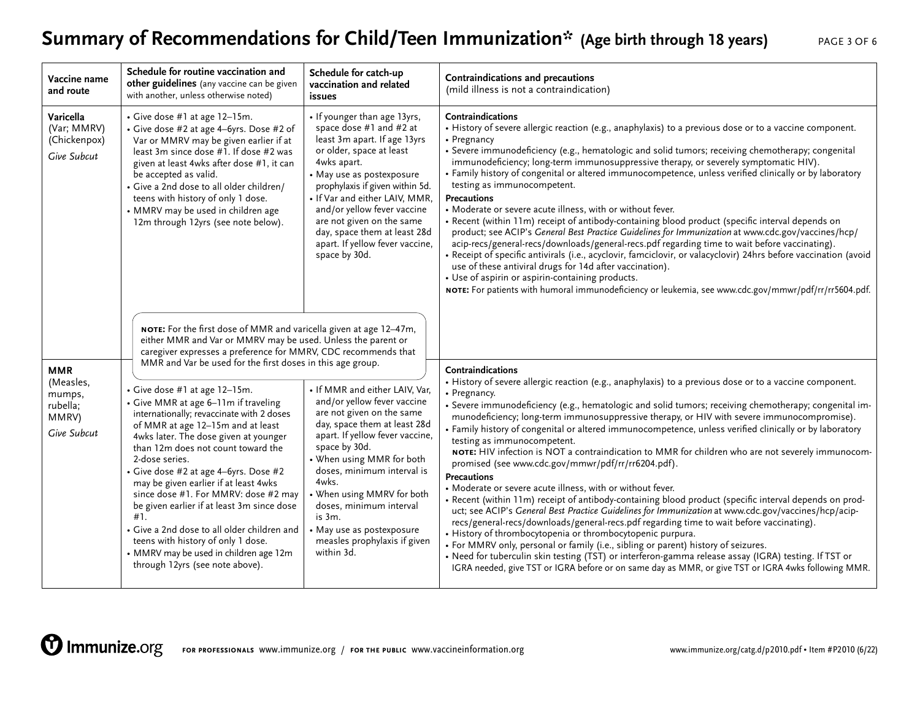# **Summary of Recommendations for Child/Teen Immunization\* (Age birth through 18 years)** PAGE 3 OF 6

| Vaccine name<br>and route                               | Schedule for routine vaccination and<br>other guidelines (any vaccine can be given<br>with another, unless otherwise noted)                                                                                                                                                                                                                                                                                                                                                                                                                                                                               | Schedule for catch-up<br>vaccination and related<br>issues                                                                                                                                                                                                                                                                                                                                       | Contraindications and precautions<br>(mild illness is not a contraindication)                                                                                                                                                                                                                                                                                                                                                                                                                                                                                                                                                                                                                                                                                                                                                                                                                                                                                                                                                                                                                                                                                                                                                                                                                                                                                                                           |
|---------------------------------------------------------|-----------------------------------------------------------------------------------------------------------------------------------------------------------------------------------------------------------------------------------------------------------------------------------------------------------------------------------------------------------------------------------------------------------------------------------------------------------------------------------------------------------------------------------------------------------------------------------------------------------|--------------------------------------------------------------------------------------------------------------------------------------------------------------------------------------------------------------------------------------------------------------------------------------------------------------------------------------------------------------------------------------------------|---------------------------------------------------------------------------------------------------------------------------------------------------------------------------------------------------------------------------------------------------------------------------------------------------------------------------------------------------------------------------------------------------------------------------------------------------------------------------------------------------------------------------------------------------------------------------------------------------------------------------------------------------------------------------------------------------------------------------------------------------------------------------------------------------------------------------------------------------------------------------------------------------------------------------------------------------------------------------------------------------------------------------------------------------------------------------------------------------------------------------------------------------------------------------------------------------------------------------------------------------------------------------------------------------------------------------------------------------------------------------------------------------------|
| Varicella<br>(Var; MMRV)<br>(Chickenpox)<br>Give Subcut | • Give dose #1 at age 12-15m.<br>• Give dose #2 at age 4-6yrs. Dose #2 of<br>Var or MMRV may be given earlier if at<br>least 3m since dose #1. If dose #2 was<br>given at least 4wks after dose #1, it can<br>be accepted as valid.<br>• Give a 2nd dose to all older children/<br>teens with history of only 1 dose.<br>• MMRV may be used in children age<br>12m through 12yrs (see note below).                                                                                                                                                                                                        | • If younger than age 13yrs,<br>space dose #1 and #2 at<br>least 3m apart. If age 13yrs<br>or older, space at least<br>4wks apart.<br>• May use as postexposure<br>prophylaxis if given within 5d.<br>• If Var and either LAIV, MMR,<br>and/or yellow fever vaccine<br>are not given on the same<br>day, space them at least 28d<br>apart. If yellow fever vaccine,<br>space by 30d.             | Contraindications<br>• History of severe allergic reaction (e.g., anaphylaxis) to a previous dose or to a vaccine component.<br>• Pregnancy<br>· Severe immunodeficiency (e.g., hematologic and solid tumors; receiving chemotherapy; congenital<br>immunodeficiency; long-term immunosuppressive therapy, or severely symptomatic HIV).<br>· Family history of congenital or altered immunocompetence, unless verified clinically or by laboratory<br>testing as immunocompetent.<br>Precautions<br>• Moderate or severe acute illness, with or without fever.<br>• Recent (within 11m) receipt of antibody-containing blood product (specific interval depends on<br>product; see ACIP's General Best Practice Guidelines for Immunization at www.cdc.gov/vaccines/hcp/<br>acip-recs/general-recs/downloads/general-recs.pdf regarding time to wait before vaccinating).<br>· Receipt of specific antivirals (i.e., acyclovir, famciclovir, or valacyclovir) 24hrs before vaccination (avoid<br>use of these antiviral drugs for 14d after vaccination).<br>• Use of aspirin or aspirin-containing products.<br>NOTE: For patients with humoral immunodeficiency or leukemia, see www.cdc.gov/mmwr/pdf/rr/rr5604.pdf.                                                                                                                                                                                 |
| <b>MMR</b>                                              | NOTE: For the first dose of MMR and varicella given at age 12-47m,<br>either MMR and Var or MMRV may be used. Unless the parent or<br>caregiver expresses a preference for MMRV, CDC recommends that<br>MMR and Var be used for the first doses in this age group.                                                                                                                                                                                                                                                                                                                                        |                                                                                                                                                                                                                                                                                                                                                                                                  | Contraindications                                                                                                                                                                                                                                                                                                                                                                                                                                                                                                                                                                                                                                                                                                                                                                                                                                                                                                                                                                                                                                                                                                                                                                                                                                                                                                                                                                                       |
| (Measles,<br>mumps,<br>rubella;<br>MMRV)<br>Give Subcut | • Give dose #1 at age 12-15m.<br>• Give MMR at age 6-11m if traveling<br>internationally; revaccinate with 2 doses<br>of MMR at age 12-15m and at least<br>4wks later. The dose given at younger<br>than 12m does not count toward the<br>2-dose series.<br>• Give dose #2 at age 4-6yrs. Dose #2<br>may be given earlier if at least 4wks<br>since dose #1. For MMRV: dose #2 may<br>be given earlier if at least 3m since dose<br>#1.<br>• Give a 2nd dose to all older children and<br>teens with history of only 1 dose.<br>• MMRV may be used in children age 12m<br>through 12yrs (see note above). | • If MMR and either LAIV, Var,<br>and/or yellow fever vaccine<br>are not given on the same<br>day, space them at least 28d<br>apart. If yellow fever vaccine,<br>space by 30d.<br>• When using MMR for both<br>doses, minimum interval is<br>4wks.<br>• When using MMRV for both<br>doses, minimum interval<br>is 3m.<br>• May use as postexposure<br>measles prophylaxis if given<br>within 3d. | • History of severe allergic reaction (e.g., anaphylaxis) to a previous dose or to a vaccine component.<br>• Pregnancy.<br>• Severe immunodeficiency (e.g., hematologic and solid tumors; receiving chemotherapy; congenital im-<br>munodeficiency; long-term immunosuppressive therapy, or HIV with severe immunocompromise).<br>· Family history of congenital or altered immunocompetence, unless verified clinically or by laboratory<br>testing as immunocompetent.<br>NOTE: HIV infection is NOT a contraindication to MMR for children who are not severely immunocom-<br>promised (see www.cdc.gov/mmwr/pdf/rr/rr6204.pdf).<br><b>Precautions</b><br>• Moderate or severe acute illness, with or without fever.<br>• Recent (within 11m) receipt of antibody-containing blood product (specific interval depends on prod-<br>uct; see ACIP's General Best Practice Guidelines for Immunization at www.cdc.gov/vaccines/hcp/acip-<br>recs/general-recs/downloads/general-recs.pdf regarding time to wait before vaccinating).<br>• History of thrombocytopenia or thrombocytopenic purpura.<br>• For MMRV only, personal or family (i.e., sibling or parent) history of seizures.<br>• Need for tuberculin skin testing (TST) or interferon-gamma release assay (IGRA) testing. If TST or<br>IGRA needed, give TST or IGRA before or on same day as MMR, or give TST or IGRA 4wks following MMR. |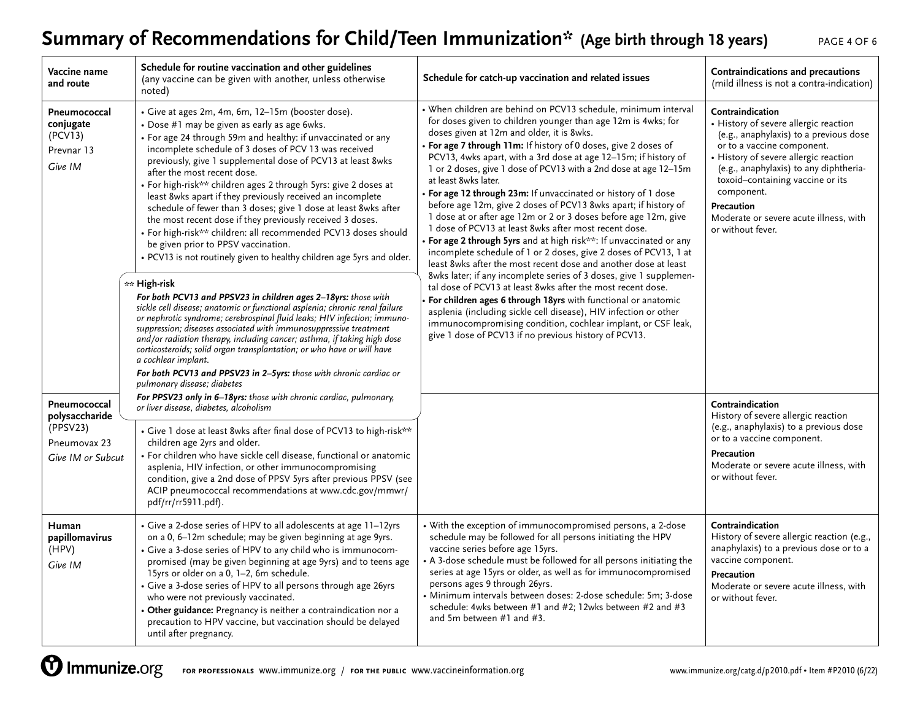# **Summary of Recommendations for Child/Teen Immunization\* (Age birth through 18 years)** PAGE 4 OF 6

| Vaccine name<br>and route                                                       | Schedule for routine vaccination and other guidelines<br>(any vaccine can be given with another, unless otherwise<br>noted)                                                                                                                                                                                                                                                                                                                                                                                                                                                                                                                                                                                                                                                                                                                                                                                                                                                                                                                                                                                                                                                                                                                                                                                                                                                     | Schedule for catch-up vaccination and related issues                                                                                                                                                                                                                                                                                                                                                                                                                                                                                                                                                                                                                                                                                                                                                                                                                                                                                                                                                                                                                                                                                                                                                                                                                                             | Contraindications and precautions<br>(mild illness is not a contra-indication)                                                                                                                                                                                                                                                                      |
|---------------------------------------------------------------------------------|---------------------------------------------------------------------------------------------------------------------------------------------------------------------------------------------------------------------------------------------------------------------------------------------------------------------------------------------------------------------------------------------------------------------------------------------------------------------------------------------------------------------------------------------------------------------------------------------------------------------------------------------------------------------------------------------------------------------------------------------------------------------------------------------------------------------------------------------------------------------------------------------------------------------------------------------------------------------------------------------------------------------------------------------------------------------------------------------------------------------------------------------------------------------------------------------------------------------------------------------------------------------------------------------------------------------------------------------------------------------------------|--------------------------------------------------------------------------------------------------------------------------------------------------------------------------------------------------------------------------------------------------------------------------------------------------------------------------------------------------------------------------------------------------------------------------------------------------------------------------------------------------------------------------------------------------------------------------------------------------------------------------------------------------------------------------------------------------------------------------------------------------------------------------------------------------------------------------------------------------------------------------------------------------------------------------------------------------------------------------------------------------------------------------------------------------------------------------------------------------------------------------------------------------------------------------------------------------------------------------------------------------------------------------------------------------|-----------------------------------------------------------------------------------------------------------------------------------------------------------------------------------------------------------------------------------------------------------------------------------------------------------------------------------------------------|
| Pneumococcal<br>conjugate<br>(PCV13)<br>Prevnar 13<br>Give IM                   | · Give at ages 2m, 4m, 6m, 12-15m (booster dose).<br>• Dose #1 may be given as early as age 6wks.<br>• For age 24 through 59m and healthy: if unvaccinated or any<br>incomplete schedule of 3 doses of PCV 13 was received<br>previously, give 1 supplemental dose of PCV13 at least 8wks<br>after the most recent dose.<br>• For high-risk** children ages 2 through 5yrs: give 2 doses at<br>least 8wks apart if they previously received an incomplete<br>schedule of fewer than 3 doses; give 1 dose at least 8wks after<br>the most recent dose if they previously received 3 doses.<br>• For high-risk** children: all recommended PCV13 doses should<br>be given prior to PPSV vaccination.<br>. PCV13 is not routinely given to healthy children age 5yrs and older.<br>** High-risk<br>For both PCV13 and PPSV23 in children ages 2-18yrs: those with<br>sickle cell disease; anatomic or functional asplenia; chronic renal failure<br>or nephrotic syndrome; cerebrospinal fluid leaks; HIV infection; immuno-<br>suppression; diseases associated with immunosuppressive treatment<br>and/or radiation therapy, including cancer; asthma, if taking high dose<br>corticosteroids; solid organ transplantation; or who have or will have<br>a cochlear implant.<br>For both PCV13 and PPSV23 in 2-5yrs: those with chronic cardiac or<br>pulmonary disease; diabetes | · When children are behind on PCV13 schedule, minimum interval<br>for doses given to children younger than age 12m is 4wks; for<br>doses given at 12m and older, it is 8wks.<br>• For age 7 through 11m: If history of 0 doses, give 2 doses of<br>PCV13, 4wks apart, with a 3rd dose at age 12-15m; if history of<br>1 or 2 doses, give 1 dose of PCV13 with a 2nd dose at age 12-15m<br>at least 8wks later.<br>• For age 12 through 23m: If unvaccinated or history of 1 dose<br>before age 12m, give 2 doses of PCV13 8wks apart; if history of<br>1 dose at or after age 12m or 2 or 3 doses before age 12m, give<br>1 dose of PCV13 at least 8wks after most recent dose.<br>• For age 2 through 5yrs and at high risk**: If unvaccinated or any<br>incomplete schedule of 1 or 2 doses, give 2 doses of PCV13, 1 at<br>least 8wks after the most recent dose and another dose at least<br>8wks later; if any incomplete series of 3 doses, give 1 supplemen-<br>tal dose of PCV13 at least 8wks after the most recent dose.<br>For children ages 6 through 18yrs with functional or anatomic<br>asplenia (including sickle cell disease), HIV infection or other<br>immunocompromising condition, cochlear implant, or CSF leak,<br>give 1 dose of PCV13 if no previous history of PCV13. | Contraindication<br>• History of severe allergic reaction<br>(e.g., anaphylaxis) to a previous dose<br>or to a vaccine component.<br>• History of severe allergic reaction<br>(e.g., anaphylaxis) to any diphtheria-<br>toxoid-containing vaccine or its<br>component.<br>Precaution<br>Moderate or severe acute illness, with<br>or without fever. |
| Pneumococcal<br>polysaccharide<br>(PPSV23)<br>Pneumovax 23<br>Give IM or Subcut | For PPSV23 only in 6-18yrs: those with chronic cardiac, pulmonary,<br>or liver disease, diabetes, alcoholism<br>• Give 1 dose at least 8wks after final dose of PCV13 to high-risk**<br>children age 2yrs and older.<br>• For children who have sickle cell disease, functional or anatomic<br>asplenia, HIV infection, or other immunocompromising<br>condition, give a 2nd dose of PPSV 5yrs after previous PPSV (see<br>ACIP pneumococcal recommendations at www.cdc.gov/mmwr/<br>pdf/rr/rr5911.pdf).                                                                                                                                                                                                                                                                                                                                                                                                                                                                                                                                                                                                                                                                                                                                                                                                                                                                        |                                                                                                                                                                                                                                                                                                                                                                                                                                                                                                                                                                                                                                                                                                                                                                                                                                                                                                                                                                                                                                                                                                                                                                                                                                                                                                  | Contraindication<br>History of severe allergic reaction<br>(e.g., anaphylaxis) to a previous dose<br>or to a vaccine component.<br>Precaution<br>Moderate or severe acute illness, with<br>or without fever.                                                                                                                                        |
| Human<br>papillomavirus<br>(HPV)<br>Give IM                                     | • Give a 2-dose series of HPV to all adolescents at age 11-12yrs<br>on a 0, 6-12m schedule; may be given beginning at age 9yrs.<br>• Give a 3-dose series of HPV to any child who is immunocom-<br>promised (may be given beginning at age 9yrs) and to teens age<br>15yrs or older on a 0, 1-2, 6m schedule.<br>• Give a 3-dose series of HPV to all persons through age 26yrs<br>who were not previously vaccinated.<br>• Other guidance: Pregnancy is neither a contraindication nor a<br>precaution to HPV vaccine, but vaccination should be delayed<br>until after pregnancy.                                                                                                                                                                                                                                                                                                                                                                                                                                                                                                                                                                                                                                                                                                                                                                                             | • With the exception of immunocompromised persons, a 2-dose<br>schedule may be followed for all persons initiating the HPV<br>vaccine series before age 15yrs.<br>• A 3-dose schedule must be followed for all persons initiating the<br>series at age 15yrs or older, as well as for immunocompromised<br>persons ages 9 through 26yrs.<br>· Minimum intervals between doses: 2-dose schedule: 5m; 3-dose<br>schedule: 4wks between #1 and #2; 12wks between #2 and #3<br>and 5m between #1 and #3.                                                                                                                                                                                                                                                                                                                                                                                                                                                                                                                                                                                                                                                                                                                                                                                             | Contraindication<br>History of severe allergic reaction (e.g.,<br>anaphylaxis) to a previous dose or to a<br>vaccine component.<br>Precaution<br>Moderate or severe acute illness, with<br>or without fever.                                                                                                                                        |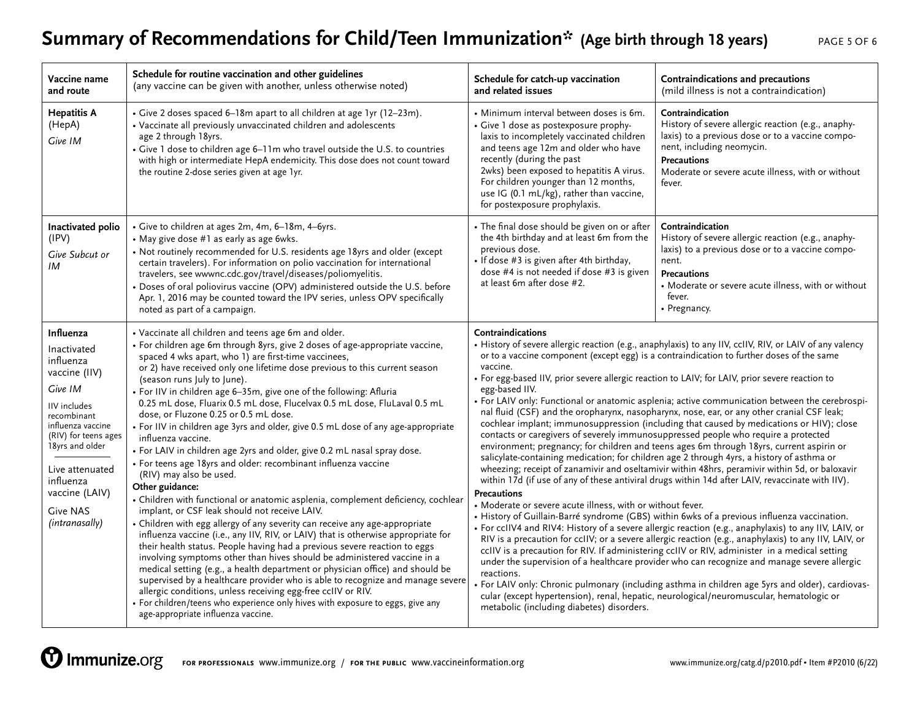# Summary of Recommendations for Child/Teen Immunization\* (Age birth through 18 years) PAGE 5 OF 6

| Vaccine name<br>and route                                                                                                                                                                                                                               | Schedule for routine vaccination and other guidelines<br>(any vaccine can be given with another, unless otherwise noted)                                                                                                                                                                                                                                                                                                                                                                                                                                                                                                                                                                                                                                                                                                                                                                                                                                                                                                                                                                                                                                                                                                                                                                                                                                                                                                                                                                                                                                                                                                                  | Schedule for catch-up vaccination<br>and related issues                                                                                                                                                                                                                                                                                                                                                                                                                                                                                                                                                                                                                                                                                                                                                                                                                                                                                                                                                                                                                                                                                                                                                                                                                                                                                                                                                                                                                                                                                                                                                                                                                                                                                                                                                                                                                                                                                                                                                     | Contraindications and precautions<br>(mild illness is not a contraindication)                                                                                                                                                                |
|---------------------------------------------------------------------------------------------------------------------------------------------------------------------------------------------------------------------------------------------------------|-------------------------------------------------------------------------------------------------------------------------------------------------------------------------------------------------------------------------------------------------------------------------------------------------------------------------------------------------------------------------------------------------------------------------------------------------------------------------------------------------------------------------------------------------------------------------------------------------------------------------------------------------------------------------------------------------------------------------------------------------------------------------------------------------------------------------------------------------------------------------------------------------------------------------------------------------------------------------------------------------------------------------------------------------------------------------------------------------------------------------------------------------------------------------------------------------------------------------------------------------------------------------------------------------------------------------------------------------------------------------------------------------------------------------------------------------------------------------------------------------------------------------------------------------------------------------------------------------------------------------------------------|-------------------------------------------------------------------------------------------------------------------------------------------------------------------------------------------------------------------------------------------------------------------------------------------------------------------------------------------------------------------------------------------------------------------------------------------------------------------------------------------------------------------------------------------------------------------------------------------------------------------------------------------------------------------------------------------------------------------------------------------------------------------------------------------------------------------------------------------------------------------------------------------------------------------------------------------------------------------------------------------------------------------------------------------------------------------------------------------------------------------------------------------------------------------------------------------------------------------------------------------------------------------------------------------------------------------------------------------------------------------------------------------------------------------------------------------------------------------------------------------------------------------------------------------------------------------------------------------------------------------------------------------------------------------------------------------------------------------------------------------------------------------------------------------------------------------------------------------------------------------------------------------------------------------------------------------------------------------------------------------------------------|----------------------------------------------------------------------------------------------------------------------------------------------------------------------------------------------------------------------------------------------|
| <b>Hepatitis A</b><br>(HepA)<br>Give IM                                                                                                                                                                                                                 | • Give 2 doses spaced 6-18m apart to all children at age 1yr (12-23m).<br>• Vaccinate all previously unvaccinated children and adolescents<br>age 2 through 18yrs.<br>• Give 1 dose to children age 6-11m who travel outside the U.S. to countries<br>with high or intermediate HepA endemicity. This dose does not count toward<br>the routine 2-dose series given at age 1yr.                                                                                                                                                                                                                                                                                                                                                                                                                                                                                                                                                                                                                                                                                                                                                                                                                                                                                                                                                                                                                                                                                                                                                                                                                                                           | · Minimum interval between doses is 6m.<br>• Give 1 dose as postexposure prophy-<br>laxis to incompletely vaccinated children<br>and teens age 12m and older who have<br>recently (during the past<br>2wks) been exposed to hepatitis A virus.<br>For children younger than 12 months,<br>use IG (0.1 mL/kg), rather than vaccine,<br>for postexposure prophylaxis.                                                                                                                                                                                                                                                                                                                                                                                                                                                                                                                                                                                                                                                                                                                                                                                                                                                                                                                                                                                                                                                                                                                                                                                                                                                                                                                                                                                                                                                                                                                                                                                                                                         | Contraindication<br>History of severe allergic reaction (e.g., anaphy-<br>laxis) to a previous dose or to a vaccine compo-<br>nent, including neomycin.<br><b>Precautions</b><br>Moderate or severe acute illness, with or without<br>fever. |
| Inactivated polio<br>(IPV)<br>Give Subcut or<br>IM                                                                                                                                                                                                      | • Give to children at ages 2m, 4m, 6-18m, 4-6yrs.<br>• May give dose #1 as early as age 6wks.<br>• Not routinely recommended for U.S. residents age 18yrs and older (except<br>certain travelers). For information on polio vaccination for international<br>travelers, see wwwnc.cdc.gov/travel/diseases/poliomyelitis.<br>· Doses of oral poliovirus vaccine (OPV) administered outside the U.S. before<br>Apr. 1, 2016 may be counted toward the IPV series, unless OPV specifically<br>noted as part of a campaign.                                                                                                                                                                                                                                                                                                                                                                                                                                                                                                                                                                                                                                                                                                                                                                                                                                                                                                                                                                                                                                                                                                                   | • The final dose should be given on or after<br>the 4th birthday and at least 6m from the<br>previous dose.<br>• If dose #3 is given after 4th birthday,<br>dose #4 is not needed if dose #3 is given<br>at least 6m after dose #2.                                                                                                                                                                                                                                                                                                                                                                                                                                                                                                                                                                                                                                                                                                                                                                                                                                                                                                                                                                                                                                                                                                                                                                                                                                                                                                                                                                                                                                                                                                                                                                                                                                                                                                                                                                         | Contraindication<br>History of severe allergic reaction (e.g., anaphy-<br>laxis) to a previous dose or to a vaccine compo-<br>nent.<br><b>Precautions</b><br>• Moderate or severe acute illness, with or without<br>fever.<br>• Pregnancy.   |
| Influenza<br>Inactivated<br>influenza<br>vaccine (IIV)<br>Give IM<br>IIV includes<br>recombinant<br>influenza vaccine<br>(RIV) for teens ages<br>18yrs and older<br>Live attenuated<br>influenza<br>vaccine (LAIV)<br><b>Give NAS</b><br>(intranasally) | • Vaccinate all children and teens age 6m and older.<br>• For children age 6m through 8yrs, give 2 doses of age-appropriate vaccine,<br>spaced 4 wks apart, who 1) are first-time vaccinees,<br>or 2) have received only one lifetime dose previous to this current season<br>(season runs July to June).<br>• For IIV in children age 6-35m, give one of the following: Afluria<br>0.25 mL dose, Fluarix 0.5 mL dose, Flucelvax 0.5 mL dose, FluLaval 0.5 mL<br>dose, or Fluzone 0.25 or 0.5 mL dose.<br>• For IIV in children age 3yrs and older, give 0.5 mL dose of any age-appropriate<br>influenza vaccine.<br>• For LAIV in children age 2yrs and older, give 0.2 mL nasal spray dose.<br>• For teens age 18yrs and older: recombinant influenza vaccine<br>(RIV) may also be used.<br>Other guidance:<br>• Children with functional or anatomic asplenia, complement deficiency, cochlear<br>implant, or CSF leak should not receive LAIV.<br>• Children with egg allergy of any severity can receive any age-appropriate<br>influenza vaccine (i.e., any IIV, RIV, or LAIV) that is otherwise appropriate for<br>their health status. People having had a previous severe reaction to eggs<br>involving symptoms other than hives should be administered vaccine in a<br>medical setting (e.g., a health department or physician office) and should be<br>supervised by a healthcare provider who is able to recognize and manage severe<br>allergic conditions, unless receiving egg-free ccIIV or RIV.<br>• For children/teens who experience only hives with exposure to eggs, give any<br>age-appropriate influenza vaccine. | Contraindications<br>• History of severe allergic reaction (e.g., anaphylaxis) to any IIV, ccIIV, RIV, or LAIV of any valency<br>or to a vaccine component (except egg) is a contraindication to further doses of the same<br>vaccine.<br>• For egg-based IIV, prior severe allergic reaction to LAIV; for LAIV, prior severe reaction to<br>egg-based IIV.<br>• For LAIV only: Functional or anatomic asplenia; active communication between the cerebrospi-<br>nal fluid (CSF) and the oropharynx, nasopharynx, nose, ear, or any other cranial CSF leak;<br>cochlear implant; immunosuppression (including that caused by medications or HIV); close<br>contacts or caregivers of severely immunosuppressed people who require a protected<br>environment; pregnancy; for children and teens ages 6m through 18yrs, current aspirin or<br>salicylate-containing medication; for children age 2 through 4yrs, a history of asthma or<br>wheezing; receipt of zanamivir and oseltamivir within 48hrs, peramivir within 5d, or baloxavir<br>within 17d (if use of any of these antiviral drugs within 14d after LAIV, revaccinate with IIV).<br><b>Precautions</b><br>• Moderate or severe acute illness, with or without fever.<br>• History of Guillain-Barré syndrome (GBS) within 6wks of a previous influenza vaccination.<br>• For ccIIV4 and RIV4: History of a severe allergic reaction (e.g., anaphylaxis) to any IIV, LAIV, or<br>RIV is a precaution for ccIIV; or a severe allergic reaction (e.g., anaphylaxis) to any IIV, LAIV, or<br>ccIIV is a precaution for RIV. If administering ccIIV or RIV, administer in a medical setting<br>under the supervision of a healthcare provider who can recognize and manage severe allergic<br>reactions.<br>· For LAIV only: Chronic pulmonary (including asthma in children age 5yrs and older), cardiovas-<br>cular (except hypertension), renal, hepatic, neurological/neuromuscular, hematologic or<br>metabolic (including diabetes) disorders. |                                                                                                                                                                                                                                              |